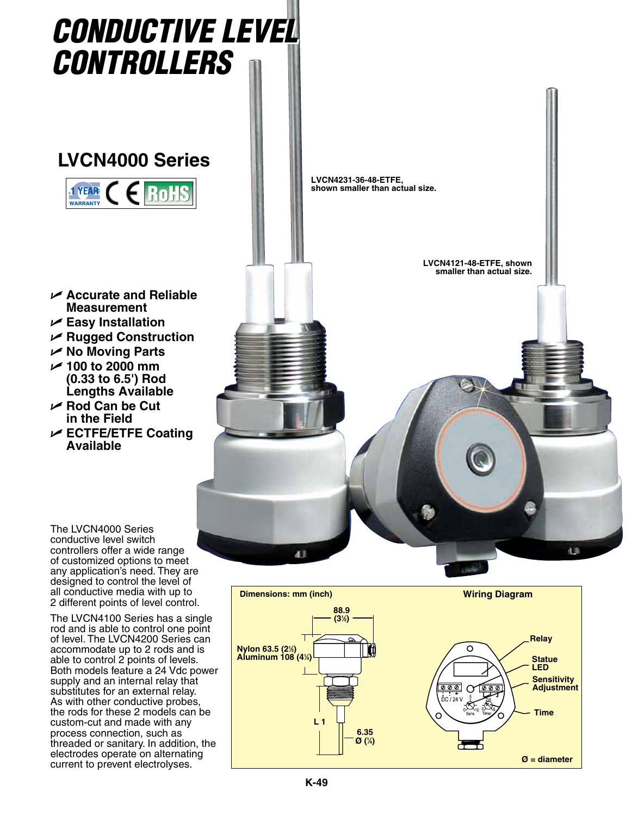

The LVCN4100 Series has a single rod and is able to control one point of level. The LVCN4200 Series can accommodate up to 2 rods and is able to control 2 points of levels. Both models feature a 24 Vdc power supply and an internal relay that substitutes for an external relay. As with other conductive probes, the rods for these 2 models can be custom-cut and made with any process connection, such as threaded or sanitary. In addition, the electrodes operate on alternating current to prevent electrolyses.